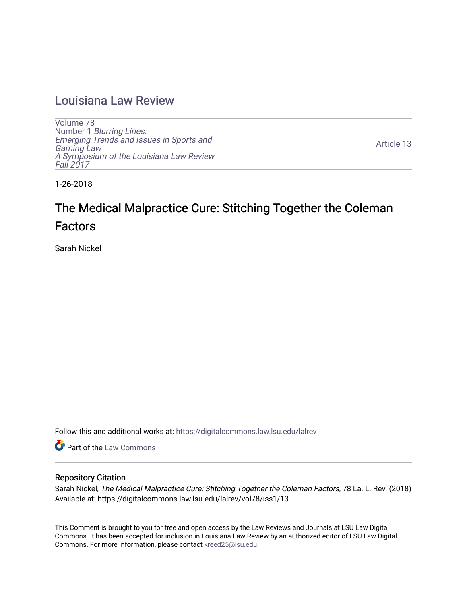## [Louisiana Law Review](https://digitalcommons.law.lsu.edu/lalrev)

[Volume 78](https://digitalcommons.law.lsu.edu/lalrev/vol78) Number 1 [Blurring Lines:](https://digitalcommons.law.lsu.edu/lalrev/vol78/iss1) [Emerging Trends and Issues in Sports and](https://digitalcommons.law.lsu.edu/lalrev/vol78/iss1)  [Gaming Law](https://digitalcommons.law.lsu.edu/lalrev/vol78/iss1)  [A Symposium of the Louisiana Law Review](https://digitalcommons.law.lsu.edu/lalrev/vol78/iss1) [Fall 2017](https://digitalcommons.law.lsu.edu/lalrev/vol78/iss1) 

[Article 13](https://digitalcommons.law.lsu.edu/lalrev/vol78/iss1/13) 

1-26-2018

# The Medical Malpractice Cure: Stitching Together the Coleman Factors

Sarah Nickel

Follow this and additional works at: [https://digitalcommons.law.lsu.edu/lalrev](https://digitalcommons.law.lsu.edu/lalrev?utm_source=digitalcommons.law.lsu.edu%2Flalrev%2Fvol78%2Fiss1%2F13&utm_medium=PDF&utm_campaign=PDFCoverPages)

Part of the [Law Commons](http://network.bepress.com/hgg/discipline/578?utm_source=digitalcommons.law.lsu.edu%2Flalrev%2Fvol78%2Fiss1%2F13&utm_medium=PDF&utm_campaign=PDFCoverPages)

### Repository Citation

Sarah Nickel, The Medical Malpractice Cure: Stitching Together the Coleman Factors, 78 La. L. Rev. (2018) Available at: https://digitalcommons.law.lsu.edu/lalrev/vol78/iss1/13

This Comment is brought to you for free and open access by the Law Reviews and Journals at LSU Law Digital Commons. It has been accepted for inclusion in Louisiana Law Review by an authorized editor of LSU Law Digital Commons. For more information, please contact [kreed25@lsu.edu](mailto:kreed25@lsu.edu).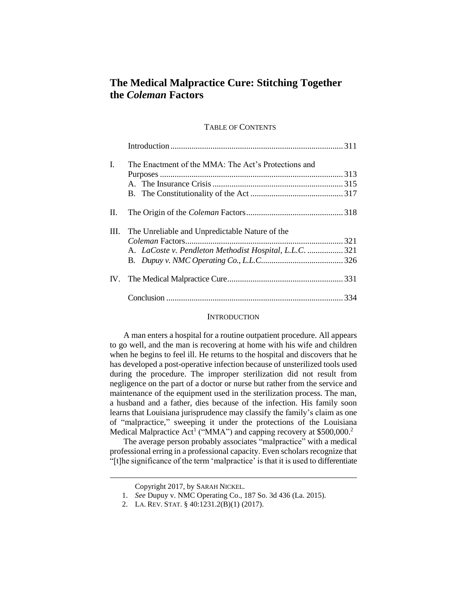## **The Medical Malpractice Cure: Stitching Together the** *Coleman* **Factors**

#### TABLE OF CONTENTS

| L.   | The Enactment of the MMA: The Act's Protections and     |  |
|------|---------------------------------------------------------|--|
|      |                                                         |  |
|      |                                                         |  |
|      |                                                         |  |
| Н.   |                                                         |  |
| III. | The Unreliable and Unpredictable Nature of the          |  |
|      |                                                         |  |
|      | A. LaCoste v. Pendleton Methodist Hospital, L.L.C.  321 |  |
|      |                                                         |  |
| IV.  |                                                         |  |
|      |                                                         |  |

#### **INTRODUCTION**

A man enters a hospital for a routine outpatient procedure. All appears to go well, and the man is recovering at home with his wife and children when he begins to feel ill. He returns to the hospital and discovers that he has developed a post-operative infection because of unsterilized tools used during the procedure. The improper sterilization did not result from negligence on the part of a doctor or nurse but rather from the service and maintenance of the equipment used in the sterilization process. The man, a husband and a father, dies because of the infection. His family soon learns that Louisiana jurisprudence may classify the family's claim as one of "malpractice," sweeping it under the protections of the Louisiana Medical Malpractice Act<sup>1</sup> ("MMA") and capping recovery at \$500,000.<sup>2</sup>

The average person probably associates "malpractice" with a medical professional erring in a professional capacity. Even scholars recognize that "[t]he significance of the term 'malpractice' is that it is used to differentiate

Copyright 2017, by SARAH NICKEL.

<sup>1.</sup> *See* Dupuy v. NMC Operating Co., 187 So. 3d 436 (La. 2015).

<sup>2.</sup> LA. REV. STAT. § 40:1231.2(B)(1) (2017).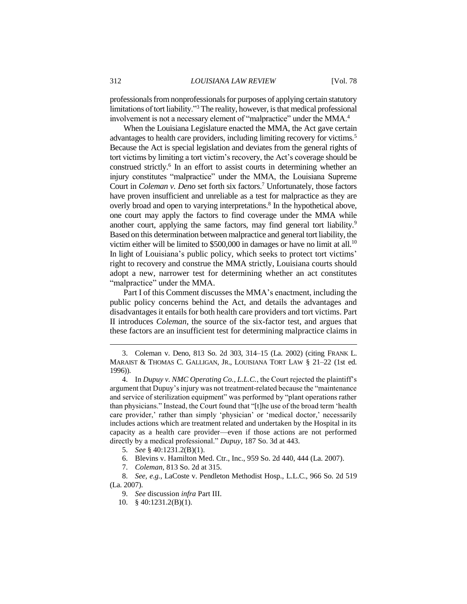professionals from nonprofessionals for purposes of applying certain statutory limitations of tort liability."<sup>3</sup> The reality, however, is that medical professional involvement is not a necessary element of "malpractice" under the MMA.<sup>4</sup>

When the Louisiana Legislature enacted the MMA, the Act gave certain advantages to health care providers, including limiting recovery for victims.<sup>5</sup> Because the Act is special legislation and deviates from the general rights of tort victims by limiting a tort victim's recovery, the Act's coverage should be construed strictly.<sup>6</sup> In an effort to assist courts in determining whether an injury constitutes "malpractice" under the MMA, the Louisiana Supreme Court in *Coleman v. Deno* set forth six factors.<sup>7</sup> Unfortunately, those factors have proven insufficient and unreliable as a test for malpractice as they are overly broad and open to varying interpretations.<sup>8</sup> In the hypothetical above, one court may apply the factors to find coverage under the MMA while another court, applying the same factors, may find general tort liability.<sup>9</sup> Based on this determination between malpractice and general tort liability, the victim either will be limited to  $$500,000$  in damages or have no limit at all.<sup>10</sup> In light of Louisiana's public policy, which seeks to protect tort victims' right to recovery and construe the MMA strictly, Louisiana courts should adopt a new, narrower test for determining whether an act constitutes "malpractice" under the MMA.

Part I of this Comment discusses the MMA's enactment, including the public policy concerns behind the Act, and details the advantages and disadvantages it entails for both health care providers and tort victims. Part II introduces *Coleman*, the source of the six-factor test, and argues that these factors are an insufficient test for determining malpractice claims in

- 5. *See* § 40:1231.2(B)(1).
- 6. Blevins v. Hamilton Med. Ctr., Inc., 959 So. 2d 440, 444 (La. 2007).
- 7. *Coleman*, 813 So. 2d at 315.

8. *See, e.g.*, LaCoste v. Pendleton Methodist Hosp., L.L.C., 966 So. 2d 519 (La. 2007).

- 9. *See* discussion *infra* Part III.
- 10. § 40:1231.2(B)(1).

<sup>3.</sup> Coleman v. Deno, 813 So. 2d 303, 314–15 (La. 2002) (citing FRANK L. MARAIST & THOMAS C. GALLIGAN, JR., LOUISIANA TORT LAW § 21–22 (1st ed. 1996)).

<sup>4.</sup> In *Dupuy v. NMC Operating Co., L.L.C.*, the Court rejected the plaintiff's argument that Dupuy's injury was not treatment-related because the "maintenance and service of sterilization equipment" was performed by "plant operations rather than physicians." Instead, the Court found that "[t]he use of the broad term 'health care provider,' rather than simply 'physician' or 'medical doctor,' necessarily includes actions which are treatment related and undertaken by the Hospital in its capacity as a health care provider—even if those actions are not performed directly by a medical professional." *Dupuy*, 187 So. 3d at 443.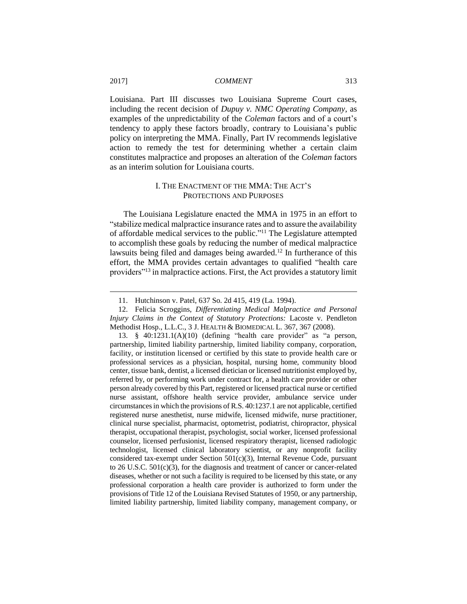Louisiana. Part III discusses two Louisiana Supreme Court cases, including the recent decision of *Dupuy v. NMC Operating Company*, as examples of the unpredictability of the *Coleman* factors and of a court's tendency to apply these factors broadly, contrary to Louisiana's public policy on interpreting the MMA. Finally, Part IV recommends legislative action to remedy the test for determining whether a certain claim constitutes malpractice and proposes an alteration of the *Coleman* factors as an interim solution for Louisiana courts.

#### I. THE ENACTMENT OF THE MMA: THE ACT'S PROTECTIONS AND PURPOSES

The Louisiana Legislature enacted the MMA in 1975 in an effort to "stabilize medical malpractice insurance rates and to assure the availability of affordable medical services to the public."<sup>11</sup> The Legislature attempted to accomplish these goals by reducing the number of medical malpractice lawsuits being filed and damages being awarded.<sup>12</sup> In furtherance of this effort, the MMA provides certain advantages to qualified "health care providers"<sup>13</sup> in malpractice actions. First, the Act provides a statutory limit

<sup>11.</sup> Hutchinson v. Patel, 637 So. 2d 415, 419 (La. 1994).

<sup>12.</sup> Felicia Scroggins, *Differentiating Medical Malpractice and Personal Injury Claims in the Context of Statutory Protections:* Lacoste v. Pendleton Methodist Hosp., L.L.C., 3 J. HEALTH & BIOMEDICAL L. 367, 367 (2008).

<sup>13.</sup> § 40:1231.1(A)(10) (defining "health care provider" as "a person, partnership, limited liability partnership, limited liability company, corporation, facility, or institution licensed or certified by this state to provide health care or professional services as a physician, hospital, nursing home, community blood center, tissue bank, dentist, a licensed dietician or licensed nutritionist employed by, referred by, or performing work under contract for, a health care provider or other person already covered by this Part, registered or licensed practical nurse or certified nurse assistant, offshore health service provider, ambulance service under circumstances in which the provisions of R.S. 40:1237.1 are not applicable, certified registered nurse anesthetist, nurse midwife, licensed midwife, nurse practitioner, clinical nurse specialist, pharmacist, optometrist, podiatrist, chiropractor, physical therapist, occupational therapist, psychologist, social worker, licensed professional counselor, licensed perfusionist, licensed respiratory therapist, licensed radiologic technologist, licensed clinical laboratory scientist, or any nonprofit facility considered tax-exempt under Section 501(c)(3), Internal Revenue Code, pursuant to 26 U.S.C.  $501(c)(3)$ , for the diagnosis and treatment of cancer or cancer-related diseases, whether or not such a facility is required to be licensed by this state, or any professional corporation a health care provider is authorized to form under the provisions of Title 12 of the Louisiana Revised Statutes of 1950, or any partnership, limited liability partnership, limited liability company, management company, or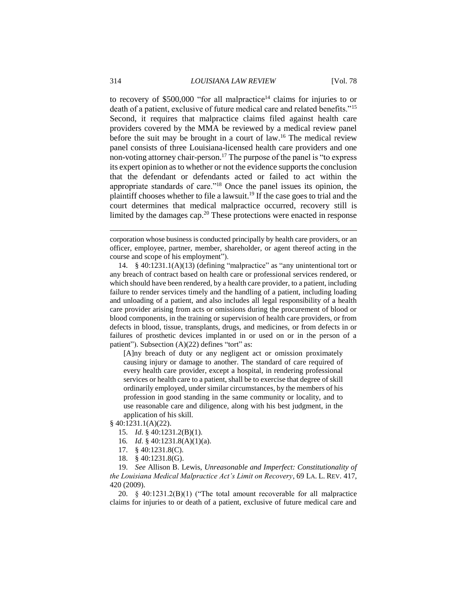to recovery of \$500,000 "for all malpractice<sup>14</sup> claims for injuries to or death of a patient, exclusive of future medical care and related benefits."<sup>15</sup> Second, it requires that malpractice claims filed against health care providers covered by the MMA be reviewed by a medical review panel before the suit may be brought in a court of law.<sup>16</sup> The medical review panel consists of three Louisiana-licensed health care providers and one non-voting attorney chair-person.<sup>17</sup> The purpose of the panel is "to express its expert opinion as to whether or not the evidence supports the conclusion that the defendant or defendants acted or failed to act within the appropriate standards of care."<sup>18</sup> Once the panel issues its opinion, the plaintiff chooses whether to file a lawsuit. <sup>19</sup> If the case goes to trial and the court determines that medical malpractice occurred, recovery still is limited by the damages cap.<sup>20</sup> These protections were enacted in response

14. § 40:1231.1(A)(13) (defining "malpractice" as "any unintentional tort or any breach of contract based on health care or professional services rendered, or which should have been rendered, by a health care provider, to a patient, including failure to render services timely and the handling of a patient, including loading and unloading of a patient, and also includes all legal responsibility of a health care provider arising from acts or omissions during the procurement of blood or blood components, in the training or supervision of health care providers, or from defects in blood, tissue, transplants, drugs, and medicines, or from defects in or failures of prosthetic devices implanted in or used on or in the person of a patient"). Subsection  $(A)(22)$  defines "tort" as:

[A]ny breach of duty or any negligent act or omission proximately causing injury or damage to another. The standard of care required of every health care provider, except a hospital, in rendering professional services or health care to a patient, shall be to exercise that degree of skill ordinarily employed, under similar circumstances, by the members of his profession in good standing in the same community or locality, and to use reasonable care and diligence, along with his best judgment, in the application of his skill.

§ 40:1231.1(A)(22).

- 15. *Id*. § 40:1231.2(B)(1).
- 16*. Id*. § 40:1231.8(A)(1)(a).
- 17. § 40:1231.8(C).
- 18. § 40:1231.8(G).

19. *See* Allison B. Lewis, *Unreasonable and Imperfect: Constitutionality of the Louisiana Medical Malpractice Act's Limit on Recovery*, 69 LA. L. REV. 417, 420 (2009).

20. § 40:1231.2(B)(1) ("The total amount recoverable for all malpractice claims for injuries to or death of a patient, exclusive of future medical care and

corporation whose business is conducted principally by health care providers, or an officer, employee, partner, member, shareholder, or agent thereof acting in the course and scope of his employment").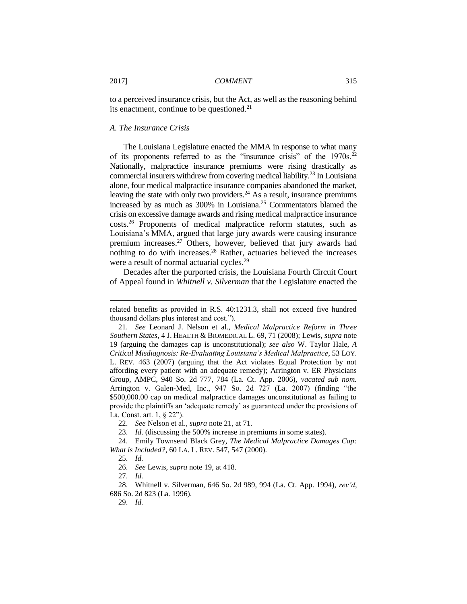to a perceived insurance crisis, but the Act, as well as the reasoning behind its enactment, continue to be questioned.<sup>21</sup>

#### *A. The Insurance Crisis*

The Louisiana Legislature enacted the MMA in response to what many of its proponents referred to as the "insurance crisis" of the  $1970s$ <sup>22</sup> Nationally, malpractice insurance premiums were rising drastically as commercial insurers withdrew from covering medical liability.<sup>23</sup> In Louisiana alone, four medical malpractice insurance companies abandoned the market, leaving the state with only two providers.<sup>24</sup> As a result, insurance premiums increased by as much as 300% in Louisiana.<sup>25</sup> Commentators blamed the crisis on excessive damage awards and rising medical malpractice insurance costs.<sup>26</sup> Proponents of medical malpractice reform statutes, such as Louisiana's MMA, argued that large jury awards were causing insurance premium increases.<sup>27</sup> Others, however, believed that jury awards had nothing to do with increases.<sup>28</sup> Rather, actuaries believed the increases were a result of normal actuarial cycles.<sup>29</sup>

Decades after the purported crisis, the Louisiana Fourth Circuit Court of Appeal found in *Whitnell v. Silverman* that the Legislature enacted the

22. *See* Nelson et al., *supra* note 21, at 71.

related benefits as provided in R.S. 40:1231.3, shall not exceed five hundred thousand dollars plus interest and cost.").

<sup>21.</sup> *See* Leonard J. Nelson et al., *Medical Malpractice Reform in Three Southern States*, 4 J. HEALTH & BIOMEDICAL L. 69, 71 (2008); Lewis, *supra* note 19 (arguing the damages cap is unconstitutional); *see also* W. Taylor Hale, *A Critical Misdiagnosis: Re-Evaluating Louisiana's Medical Malpractice*, 53 LOY. L. REV. 463 (2007) (arguing that the Act violates Equal Protection by not affording every patient with an adequate remedy); Arrington v. ER Physicians Group, AMPC, 940 So. 2d 777, 784 (La. Ct. App. 2006), *vacated sub nom.* Arrington v. Galen-Med, Inc., 947 So. 2d 727 (La. 2007) (finding "the \$500,000.00 cap on medical malpractice damages unconstitutional as failing to provide the plaintiffs an 'adequate remedy' as guaranteed under the provisions of La. Const. art. 1, § 22").

<sup>23.</sup> *Id*. (discussing the 500% increase in premiums in some states).

<sup>24.</sup> Emily Townsend Black Grey, *The Medical Malpractice Damages Cap: What is Included?*, 60 LA. L. REV. 547, 547 (2000).

<sup>25.</sup> *Id.*

<sup>26.</sup> *See* Lewis, *supra* note 19, at 418.

<sup>27.</sup> *Id.*

<sup>28.</sup> Whitnell v. Silverman, 646 So. 2d 989, 994 (La. Ct. App. 1994), *rev'd*, 686 So. 2d 823 (La. 1996).

<sup>29.</sup> *Id.*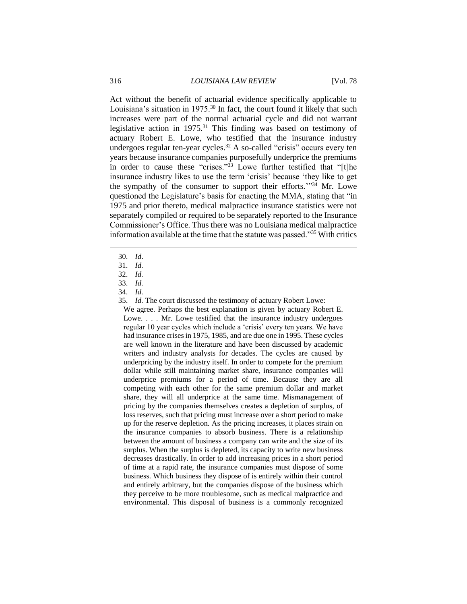Act without the benefit of actuarial evidence specifically applicable to Louisiana's situation in 1975.<sup>30</sup> In fact, the court found it likely that such increases were part of the normal actuarial cycle and did not warrant legislative action in 1975.<sup>31</sup> This finding was based on testimony of actuary Robert E. Lowe, who testified that the insurance industry undergoes regular ten-year cycles.<sup>32</sup> A so-called "crisis" occurs every ten years because insurance companies purposefully underprice the premiums in order to cause these "crises."<sup>33</sup> Lowe further testified that "[t]he insurance industry likes to use the term 'crisis' because 'they like to get the sympathy of the consumer to support their efforts."<sup>34</sup> Mr. Lowe questioned the Legislature's basis for enacting the MMA, stating that "in 1975 and prior thereto, medical malpractice insurance statistics were not separately compiled or required to be separately reported to the Insurance Commissioner's Office. Thus there was no Louisiana medical malpractice information available at the time that the statute was passed."<sup>35</sup> With critics

30. *Id*.

 $\overline{a}$ 

35. *Id.* The court discussed the testimony of actuary Robert Lowe:

We agree. Perhaps the best explanation is given by actuary Robert E. Lowe. . . . Mr. Lowe testified that the insurance industry undergoes regular 10 year cycles which include a 'crisis' every ten years. We have had insurance crises in 1975, 1985, and are due one in 1995. These cycles are well known in the literature and have been discussed by academic writers and industry analysts for decades. The cycles are caused by underpricing by the industry itself. In order to compete for the premium dollar while still maintaining market share, insurance companies will underprice premiums for a period of time. Because they are all competing with each other for the same premium dollar and market share, they will all underprice at the same time. Mismanagement of pricing by the companies themselves creates a depletion of surplus, of loss reserves, such that pricing must increase over a short period to make up for the reserve depletion. As the pricing increases, it places strain on the insurance companies to absorb business. There is a relationship between the amount of business a company can write and the size of its surplus. When the surplus is depleted, its capacity to write new business decreases drastically. In order to add increasing prices in a short period of time at a rapid rate, the insurance companies must dispose of some business. Which business they dispose of is entirely within their control and entirely arbitrary, but the companies dispose of the business which they perceive to be more troublesome, such as medical malpractice and environmental. This disposal of business is a commonly recognized

<sup>31.</sup> *Id.*

<sup>32.</sup> *Id.*

<sup>33.</sup> *Id.*

<sup>34.</sup> *Id.*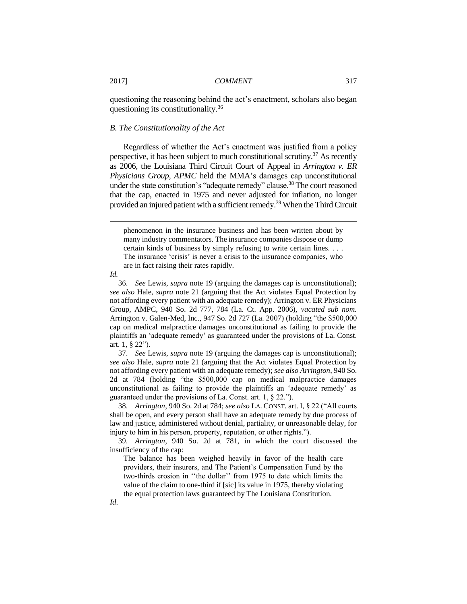questioning the reasoning behind the act's enactment, scholars also began questioning its constitutionality.<sup>36</sup>

#### *B. The Constitutionality of the Act*

Regardless of whether the Act's enactment was justified from a policy perspective, it has been subject to much constitutional scrutiny.<sup>37</sup> As recently as 2006, the Louisiana Third Circuit Court of Appeal in *Arrington v. ER Physicians Group, APMC* held the MMA's damages cap unconstitutional under the state constitution's "adequate remedy" clause.<sup>38</sup> The court reasoned that the cap, enacted in 1975 and never adjusted for inflation, no longer provided an injured patient with a sufficient remedy.<sup>39</sup> When the Third Circuit

*Id.*

 $\overline{a}$ 

36. *See* Lewis, *supra* note 19 (arguing the damages cap is unconstitutional); *see also* Hale, *supra* note 21 (arguing that the Act violates Equal Protection by not affording every patient with an adequate remedy); Arrington v. ER Physicians Group, AMPC, 940 So. 2d 777, 784 (La. Ct. App. 2006), *vacated sub nom.* Arrington v. Galen-Med, Inc., 947 So. 2d 727 (La. 2007) (holding "the \$500,000 cap on medical malpractice damages unconstitutional as failing to provide the plaintiffs an 'adequate remedy' as guaranteed under the provisions of La. Const. art. 1, § 22").

37. *See* Lewis, *supra* note 19 (arguing the damages cap is unconstitutional); *see also* Hale, *supra* note 21 (arguing that the Act violates Equal Protection by not affording every patient with an adequate remedy); *see also Arrington*, 940 So. 2d at 784 (holding "the \$500,000 cap on medical malpractice damages unconstitutional as failing to provide the plaintiffs an 'adequate remedy' as guaranteed under the provisions of La. Const. art. 1, § 22.").

38. *Arrington*, 940 So. 2d at 784; *see also* LA. CONST. art. I, § 22 ("All courts shall be open, and every person shall have an adequate remedy by due process of law and justice, administered without denial, partiality, or unreasonable delay, for injury to him in his person, property, reputation, or other rights.").

39. *Arrington*, 940 So. 2d at 781, in which the court discussed the insufficiency of the cap:

The balance has been weighed heavily in favor of the health care providers, their insurers, and The Patient's Compensation Fund by the two-thirds erosion in ''the dollar'' from 1975 to date which limits the value of the claim to one-third if [sic] its value in 1975, thereby violating the equal protection laws guaranteed by The Louisiana Constitution.

phenomenon in the insurance business and has been written about by many industry commentators. The insurance companies dispose or dump certain kinds of business by simply refusing to write certain lines. . . . The insurance 'crisis' is never a crisis to the insurance companies, who are in fact raising their rates rapidly.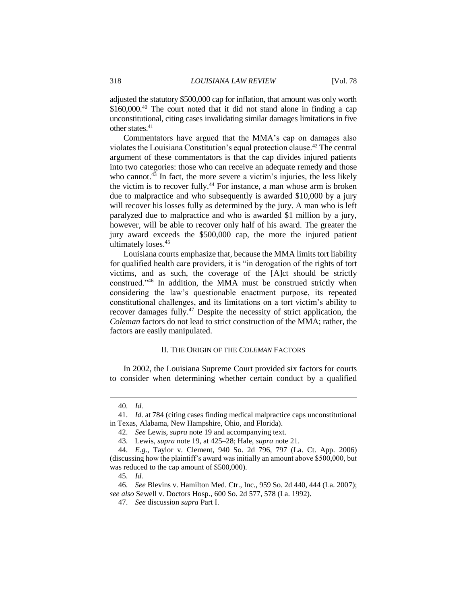adjusted the statutory \$500,000 cap for inflation, that amount was only worth \$160,000.<sup>40</sup> The court noted that it did not stand alone in finding a cap unconstitutional, citing cases invalidating similar damages limitations in five other states.<sup>41</sup>

Commentators have argued that the MMA's cap on damages also violates the Louisiana Constitution's equal protection clause.<sup>42</sup> The central argument of these commentators is that the cap divides injured patients into two categories: those who can receive an adequate remedy and those who cannot. $43$  In fact, the more severe a victim's injuries, the less likely the victim is to recover fully. <sup>44</sup> For instance, a man whose arm is broken due to malpractice and who subsequently is awarded \$10,000 by a jury will recover his losses fully as determined by the jury. A man who is left paralyzed due to malpractice and who is awarded \$1 million by a jury, however, will be able to recover only half of his award. The greater the jury award exceeds the \$500,000 cap, the more the injured patient ultimately loses. 45

Louisiana courts emphasize that, because the MMA limits tort liability for qualified health care providers, it is "in derogation of the rights of tort victims, and as such, the coverage of the [A]ct should be strictly construed."<sup>46</sup> In addition, the MMA must be construed strictly when considering the law's questionable enactment purpose, its repeated constitutional challenges, and its limitations on a tort victim's ability to recover damages fully.<sup>47</sup> Despite the necessity of strict application, the *Coleman* factors do not lead to strict construction of the MMA; rather, the factors are easily manipulated.

#### II. THE ORIGIN OF THE *COLEMAN* FACTORS

In 2002, the Louisiana Supreme Court provided six factors for courts to consider when determining whether certain conduct by a qualified

 $\overline{a}$ 

45. *Id.*

<sup>40.</sup> *Id.*

<sup>41.</sup> *Id.* at 784 (citing cases finding medical malpractice caps unconstitutional in Texas, Alabama, New Hampshire, Ohio, and Florida).

<sup>42.</sup> *See* Lewis, *supra* note 19 and accompanying text.

<sup>43.</sup> Lewis, *supra* note 19, at 425–28; Hale, *supra* note 21.

<sup>44.</sup> *E.g*., Taylor v. Clement, 940 So. 2d 796, 797 (La. Ct. App. 2006) (discussing how the plaintiff's award was initially an amount above \$500,000, but was reduced to the cap amount of \$500,000).

<sup>46.</sup> *See* Blevins v. Hamilton Med. Ctr., Inc., 959 So. 2d 440, 444 (La. 2007); *see also* Sewell v. Doctors Hosp., 600 So. 2d 577, 578 (La. 1992).

<sup>47.</sup> *See* discussion *supra* Part I.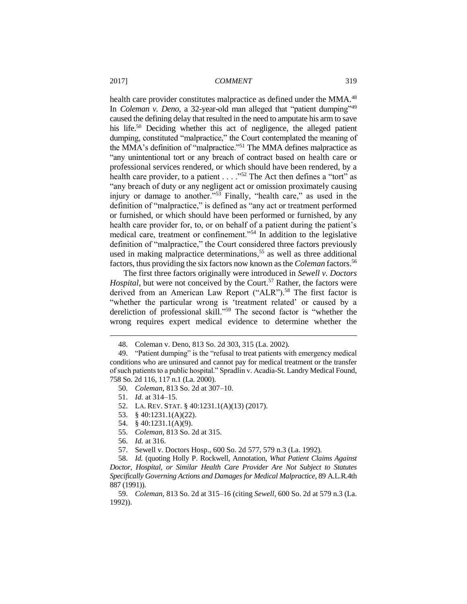health care provider constitutes malpractice as defined under the MMA.<sup>48</sup> In *Coleman v. Deno*, a 32-year-old man alleged that "patient dumping"<sup>49</sup> caused the defining delay that resulted in the need to amputate his arm to save his life.<sup>50</sup> Deciding whether this act of negligence, the alleged patient dumping, constituted "malpractice," the Court contemplated the meaning of the MMA's definition of "malpractice."<sup>51</sup> The MMA defines malpractice as "any unintentional tort or any breach of contract based on health care or professional services rendered, or which should have been rendered, by a health care provider, to a patient  $\dots$  ."<sup>52</sup> The Act then defines a "tort" as "any breach of duty or any negligent act or omission proximately causing injury or damage to another."<sup>53</sup> Finally, "health care," as used in the definition of "malpractice," is defined as "any act or treatment performed or furnished, or which should have been performed or furnished, by any health care provider for, to, or on behalf of a patient during the patient's medical care, treatment or confinement."<sup>54</sup> In addition to the legislative definition of "malpractice," the Court considered three factors previously used in making malpractice determinations, <sup>55</sup> as well as three additional factors, thus providing the six factors now known as the *Coleman* factors. 56

The first three factors originally were introduced in *Sewell v. Doctors Hospital*, but were not conceived by the Court.<sup>57</sup> Rather, the factors were derived from an American Law Report ("ALR").<sup>58</sup> The first factor is "whether the particular wrong is 'treatment related' or caused by a dereliction of professional skill."<sup>59</sup> The second factor is "whether the wrong requires expert medical evidence to determine whether the

- 53. § 40:1231.1(A)(22).
- 54. § 40:1231.1(A)(9).
- 55. *Coleman*, 813 So. 2d at 315.
- 56. *Id.* at 316.

<sup>48.</sup> Coleman v. Deno, 813 So. 2d 303, 315 (La. 2002).

<sup>49.</sup> "Patient dumping" is the "refusal to treat patients with emergency medical conditions who are uninsured and cannot pay for medical treatment or the transfer of such patients to a public hospital." Spradlin v. Acadia-St. Landry Medical Found, 758 So. 2d 116, 117 n.1 (La. 2000).

<sup>50.</sup> *Coleman*, 813 So. 2d at 307–10.

<sup>51.</sup> *Id.* at 314–15.

<sup>52.</sup> LA. REV. STAT. § 40:1231.1(A)(13) (2017).

<sup>57.</sup> Sewell v. Doctors Hosp., 600 So. 2d 577, 579 n.3 (La. 1992).

<sup>58.</sup> *Id.* (quoting Holly P. Rockwell, Annotation, *What Patient Claims Against Doctor, Hospital, or Similar Health Care Provider Are Not Subject to Statutes Specifically Governing Actions and Damages for Medical Malpractice*, 89 A.L.R.4th 887 (1991)).

<sup>59.</sup> *Coleman*, 813 So. 2d at 315–16 (citing *Sewell*, 600 So. 2d at 579 n.3 (La. 1992)).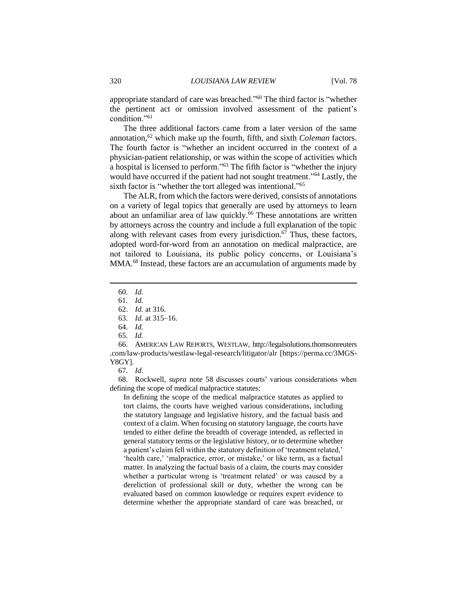appropriate standard of care was breached."<sup>60</sup> The third factor is "whether the pertinent act or omission involved assessment of the patient's condition."<sup>61</sup>

The three additional factors came from a later version of the same annotation,<sup>62</sup> which make up the fourth, fifth, and sixth *Coleman* factors. The fourth factor is "whether an incident occurred in the context of a physician-patient relationship, or was within the scope of activities which a hospital is licensed to perform."<sup>63</sup> The fifth factor is "whether the injury would have occurred if the patient had not sought treatment."<sup>64</sup> Lastly, the sixth factor is "whether the tort alleged was intentional."<sup>65</sup>

The ALR, from which the factors were derived, consists of annotations on a variety of legal topics that generally are used by attorneys to learn about an unfamiliar area of law quickly.<sup>66</sup> These annotations are written by attorneys across the country and include a full explanation of the topic along with relevant cases from every jurisdiction. $67$  Thus, these factors, adopted word-for-word from an annotation on medical malpractice, are not tailored to Louisiana, its public policy concerns, or Louisiana's MMA.<sup>68</sup> Instead, these factors are an accumulation of arguments made by

 $\overline{a}$ 

66. AMERICAN LAW REPORTS, WESTLAW, http://legalsolutions.thomsonreuters .com/law-products/westlaw-legal-research/litigator/alr [https://perma.cc/3MGS-Y8GY].

68. Rockwell, *supra* note 58 discusses courts' various considerations when defining the scope of medical malpractice statutes:

In defining the scope of the medical malpractice statutes as applied to tort claims, the courts have weighed various considerations, including the statutory language and legislative history, and the factual basis and context of a claim. When focusing on statutory language, the courts have tended to either define the breadth of coverage intended, as reflected in general statutory terms or the legislative history, or to determine whether a patient's claim fell within the statutory definition of 'treatment related,' 'health care,' 'malpractice, error, or mistake,' or like term, as a factual matter. In analyzing the factual basis of a claim, the courts may consider whether a particular wrong is 'treatment related' or was caused by a dereliction of professional skill or duty, whether the wrong can be evaluated based on common knowledge or requires expert evidence to determine whether the appropriate standard of care was breached, or

<sup>60.</sup> *Id.*

<sup>61.</sup> *Id.*

<sup>62.</sup> *Id.* at 316.

<sup>63.</sup> *Id.* at 315–16.

<sup>64.</sup> *Id.*

<sup>65.</sup> *Id.*

<sup>67.</sup> *Id*.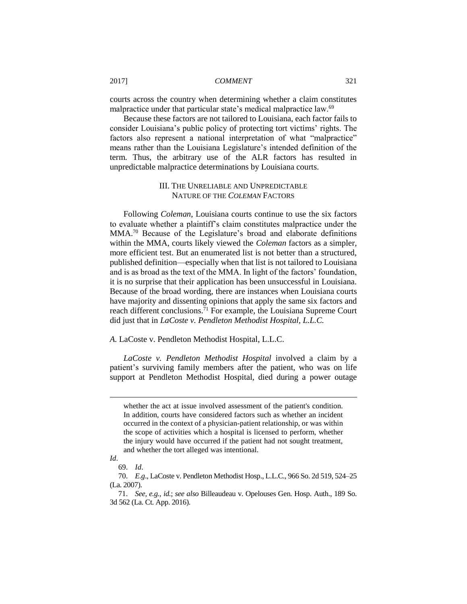courts across the country when determining whether a claim constitutes malpractice under that particular state's medical malpractice law.<sup>69</sup>

Because these factors are not tailored to Louisiana, each factor fails to consider Louisiana's public policy of protecting tort victims' rights. The factors also represent a national interpretation of what "malpractice" means rather than the Louisiana Legislature's intended definition of the term. Thus, the arbitrary use of the ALR factors has resulted in unpredictable malpractice determinations by Louisiana courts.

#### III. THE UNRELIABLE AND UNPREDICTABLE NATURE OF THE *COLEMAN* FACTORS

Following *Coleman*, Louisiana courts continue to use the six factors to evaluate whether a plaintiff's claim constitutes malpractice under the MMA.<sup>70</sup> Because of the Legislature's broad and elaborate definitions within the MMA, courts likely viewed the *Coleman* factors as a simpler, more efficient test. But an enumerated list is not better than a structured, published definition—especially when that list is not tailored to Louisiana and is as broad as the text of the MMA. In light of the factors' foundation, it is no surprise that their application has been unsuccessful in Louisiana. Because of the broad wording, there are instances when Louisiana courts have majority and dissenting opinions that apply the same six factors and reach different conclusions. <sup>71</sup> For example, the Louisiana Supreme Court did just that in *LaCoste v. Pendleton Methodist Hospital, L.L.C.*

#### *A.* LaCoste v. Pendleton Methodist Hospital, L.L.C.

*LaCoste v. Pendleton Methodist Hospital* involved a claim by a patient's surviving family members after the patient, who was on life support at Pendleton Methodist Hospital, died during a power outage

whether the act at issue involved assessment of the patient's condition. In addition, courts have considered factors such as whether an incident occurred in the context of a physician-patient relationship, or was within the scope of activities which a hospital is licensed to perform, whether the injury would have occurred if the patient had not sought treatment, and whether the tort alleged was intentional.

*Id*.

<sup>69.</sup> *Id*.

<sup>70.</sup> *E.g*., LaCoste v. Pendleton Methodist Hosp., L.L.C., 966 So. 2d 519, 524–25 (La. 2007).

<sup>71.</sup> *See, e.g.*, *id.*; *see also* Billeaudeau v. Opelouses Gen. Hosp. Auth., 189 So. 3d 562 (La. Ct. App. 2016).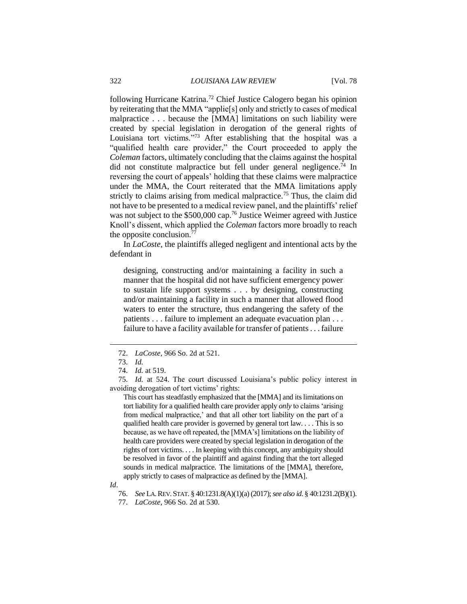following Hurricane Katrina.<sup>72</sup> Chief Justice Calogero began his opinion by reiterating that the MMA "applie[s] only and strictly to cases of medical malpractice . . . because the [MMA] limitations on such liability were created by special legislation in derogation of the general rights of Louisiana tort victims."<sup>73</sup> After establishing that the hospital was a "qualified health care provider," the Court proceeded to apply the *Coleman* factors, ultimately concluding that the claims against the hospital did not constitute malpractice but fell under general negligence.<sup>74</sup> In reversing the court of appeals' holding that these claims were malpractice under the MMA, the Court reiterated that the MMA limitations apply strictly to claims arising from medical malpractice.<sup>75</sup> Thus, the claim did not have to be presented to a medical review panel, and the plaintiffs' relief was not subject to the \$500,000 cap.<sup>76</sup> Justice Weimer agreed with Justice Knoll's dissent, which applied the *Coleman* factors more broadly to reach the opposite conclusion.<sup>77</sup>

In *LaCoste*, the plaintiffs alleged negligent and intentional acts by the defendant in

designing, constructing and/or maintaining a facility in such a manner that the hospital did not have sufficient emergency power to sustain life support systems . . . by designing, constructing and/or maintaining a facility in such a manner that allowed flood waters to enter the structure, thus endangering the safety of the patients . . . failure to implement an adequate evacuation plan . . . failure to have a facility available for transfer of patients . . . failure

<sup>72.</sup> *LaCoste*, 966 So. 2d at 521.

<sup>73.</sup> *Id.*

<sup>74.</sup> *Id.* at 519.

<sup>75.</sup> *Id.* at 524. The court discussed Louisiana's public policy interest in avoiding derogation of tort victims' rights:

This court has steadfastly emphasized that the [MMA] and its limitations on tort liability for a qualified health care provider apply *only* to claims 'arising from medical malpractice,' and that all other tort liability on the part of a qualified health care provider is governed by general tort law. . . . This is so because, as we have oft repeated, the [MMA's] limitations on the liability of health care providers were created by special legislation in derogation of the rights of tort victims. . . . In keeping with this concept, any ambiguity should be resolved in favor of the plaintiff and against finding that the tort alleged sounds in medical malpractice. The limitations of the [MMA], therefore, apply strictly to cases of malpractice as defined by the [MMA].

*Id*.

<sup>76.</sup> *See* LA.REV.STAT. § 40:1231.8(A)(1)(a) (2017); *see also id*. § 40:1231.2(B)(1).

<sup>77.</sup> *LaCoste*, 966 So. 2d at 530.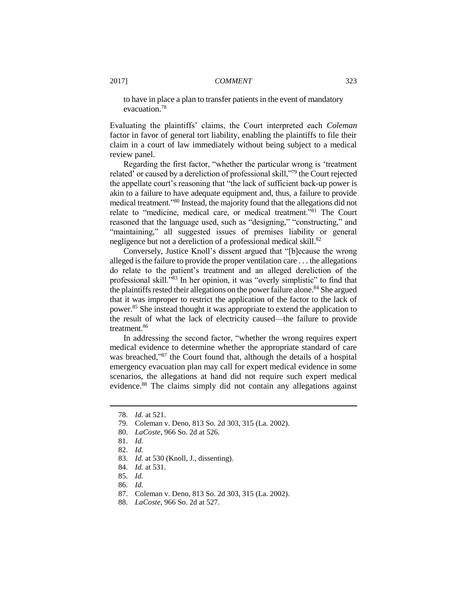to have in place a plan to transfer patients in the event of mandatory evacuation.<sup>78</sup>

Evaluating the plaintiffs' claims, the Court interpreted each *Coleman* factor in favor of general tort liability, enabling the plaintiffs to file their claim in a court of law immediately without being subject to a medical review panel.

Regarding the first factor, "whether the particular wrong is 'treatment related' or caused by a dereliction of professional skill,"<sup>79</sup> the Court rejected the appellate court's reasoning that "the lack of sufficient back-up power is akin to a failure to have adequate equipment and, thus, a failure to provide medical treatment."<sup>80</sup> Instead, the majority found that the allegations did not relate to "medicine, medical care, or medical treatment."<sup>81</sup> The Court reasoned that the language used, such as "designing," "constructing," and "maintaining," all suggested issues of premises liability or general negligence but not a dereliction of a professional medical skill.<sup>82</sup>

Conversely, Justice Knoll's dissent argued that "[b]ecause the wrong alleged is the failure to provide the proper ventilation care . . . the allegations do relate to the patient's treatment and an alleged dereliction of the professional skill."<sup>83</sup> In her opinion, it was "overly simplistic" to find that the plaintiffs rested their allegations on the power failure alone.<sup>84</sup> She argued that it was improper to restrict the application of the factor to the lack of power.<sup>85</sup> She instead thought it was appropriate to extend the application to the result of what the lack of electricity caused—the failure to provide treatment.<sup>86</sup>

In addressing the second factor, "whether the wrong requires expert medical evidence to determine whether the appropriate standard of care was breached,"<sup>87</sup> the Court found that, although the details of a hospital emergency evacuation plan may call for expert medical evidence in some scenarios, the allegations at hand did not require such expert medical evidence.<sup>88</sup> The claims simply did not contain any allegations against

<sup>78.</sup> *Id.* at 521.

<sup>79.</sup> Coleman v. Deno, 813 So. 2d 303, 315 (La. 2002).

<sup>80.</sup> *LaCoste*, 966 So. 2d at 526.

<sup>81.</sup> *Id.*

<sup>82.</sup> *Id.*

<sup>83.</sup> *Id.* at 530 (Knoll, J., dissenting).

<sup>84.</sup> *Id.* at 531.

<sup>85.</sup> *Id.*

<sup>86.</sup> *Id.*

<sup>87.</sup> Coleman v. Deno, 813 So. 2d 303, 315 (La. 2002).

<sup>88.</sup> *LaCoste*, 966 So. 2d at 527.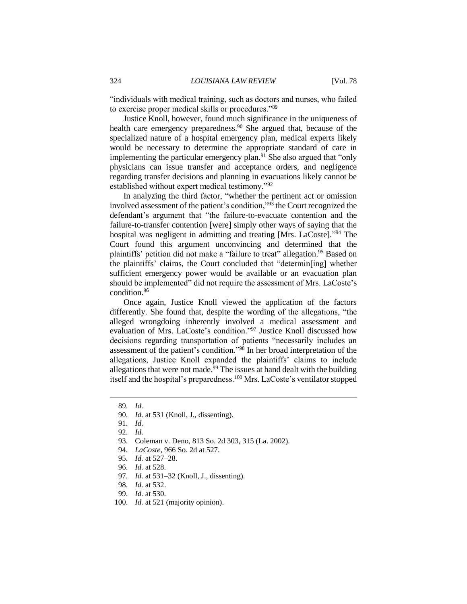"individuals with medical training, such as doctors and nurses, who failed to exercise proper medical skills or procedures."<sup>89</sup>

Justice Knoll, however, found much significance in the uniqueness of health care emergency preparedness. <sup>90</sup> She argued that, because of the specialized nature of a hospital emergency plan, medical experts likely would be necessary to determine the appropriate standard of care in implementing the particular emergency plan.<sup>91</sup> She also argued that "only physicians can issue transfer and acceptance orders, and negligence regarding transfer decisions and planning in evacuations likely cannot be established without expert medical testimony."<sup>92</sup>

In analyzing the third factor, "whether the pertinent act or omission involved assessment of the patient's condition,"<sup>93</sup> the Court recognized the defendant's argument that "the failure-to-evacuate contention and the failure-to-transfer contention [were] simply other ways of saying that the hospital was negligent in admitting and treating [Mrs. LaCoste]." <sup>94</sup> The Court found this argument unconvincing and determined that the plaintiffs' petition did not make a "failure to treat" allegation.<sup>95</sup> Based on the plaintiffs' claims, the Court concluded that "determin[ing] whether sufficient emergency power would be available or an evacuation plan should be implemented" did not require the assessment of Mrs. LaCoste's condition.<sup>96</sup>

Once again, Justice Knoll viewed the application of the factors differently. She found that, despite the wording of the allegations, "the alleged wrongdoing inherently involved a medical assessment and evaluation of Mrs. LaCoste's condition."<sup>97</sup> Justice Knoll discussed how decisions regarding transportation of patients "necessarily includes an assessment of the patient's condition."<sup>98</sup> In her broad interpretation of the allegations, Justice Knoll expanded the plaintiffs' claims to include allegations that were not made.<sup>99</sup> The issues at hand dealt with the building itself and the hospital's preparedness.<sup>100</sup> Mrs. LaCoste's ventilator stopped

- 93. Coleman v. Deno, 813 So. 2d 303, 315 (La. 2002).
- 94. *LaCoste*, 966 So. 2d at 527.
- 95. *Id.* at 527–28.
- 96. *Id.* at 528.
- 97. *Id.* at 531–32 (Knoll, J., dissenting).
- 98. *Id.* at 532.
- 99. *Id.* at 530.
- 100. *Id.* at 521 (majority opinion).

<sup>89.</sup> *Id.*

<sup>90.</sup> *Id.* at 531 (Knoll, J., dissenting).

<sup>91.</sup> *Id.*

<sup>92.</sup> *Id.*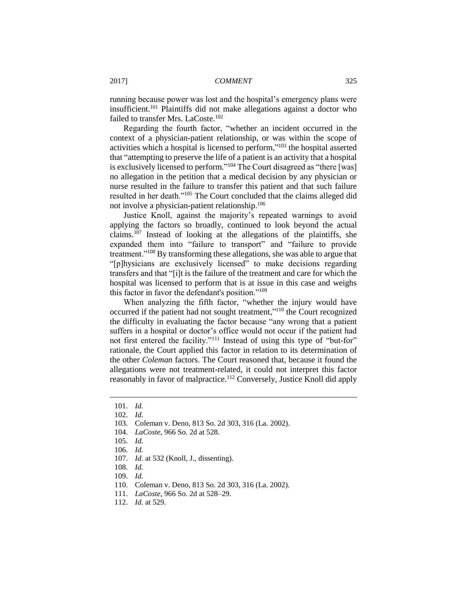running because power was lost and the hospital's emergency plans were insufficient.<sup>101</sup> Plaintiffs did not make allegations against a doctor who failed to transfer Mrs. LaCoste.<sup>102</sup>

Regarding the fourth factor, "whether an incident occurred in the context of a physician-patient relationship, or was within the scope of activities which a hospital is licensed to perform,"<sup>103</sup> the hospital asserted that "attempting to preserve the life of a patient is an activity that a hospital is exclusively licensed to perform." <sup>104</sup> The Court disagreed as "there [was] no allegation in the petition that a medical decision by any physician or nurse resulted in the failure to transfer this patient and that such failure resulted in her death."<sup>105</sup> The Court concluded that the claims alleged did not involve a physician-patient relationship.<sup>106</sup>

Justice Knoll, against the majority's repeated warnings to avoid applying the factors so broadly, continued to look beyond the actual claims.<sup>107</sup> Instead of looking at the allegations of the plaintiffs, she expanded them into "failure to transport" and "failure to provide treatment."<sup>108</sup> By transforming these allegations, she was able to argue that "[p]hysicians are exclusively licensed" to make decisions regarding transfers and that "[i]t is the failure of the treatment and care for which the hospital was licensed to perform that is at issue in this case and weighs this factor in favor the defendant's position."<sup>109</sup>

When analyzing the fifth factor, "whether the injury would have occurred if the patient had not sought treatment,"<sup>110</sup> the Court recognized the difficulty in evaluating the factor because "any wrong that a patient suffers in a hospital or doctor's office would not occur if the patient had not first entered the facility."<sup>111</sup> Instead of using this type of "but-for" rationale, the Court applied this factor in relation to its determination of the other *Coleman* factors. The Court reasoned that, because it found the allegations were not treatment-related, it could not interpret this factor reasonably in favor of malpractice.<sup>112</sup> Conversely, Justice Knoll did apply

<sup>101.</sup> *Id.*

<sup>102.</sup> *Id.*

<sup>103.</sup> Coleman v. Deno, 813 So. 2d 303, 316 (La. 2002).

<sup>104.</sup> *LaCoste*, 966 So. 2d at 528.

<sup>105.</sup> *Id.*

<sup>106.</sup> *Id.*

<sup>107.</sup> *Id*. at 532 (Knoll, J., dissenting).

<sup>108.</sup> *Id.*

<sup>109.</sup> *Id.*

<sup>110.</sup> Coleman v. Deno, 813 So. 2d 303, 316 (La. 2002).

<sup>111.</sup> *LaCoste*, 966 So. 2d at 528–29.

<sup>112.</sup> *Id.* at 529.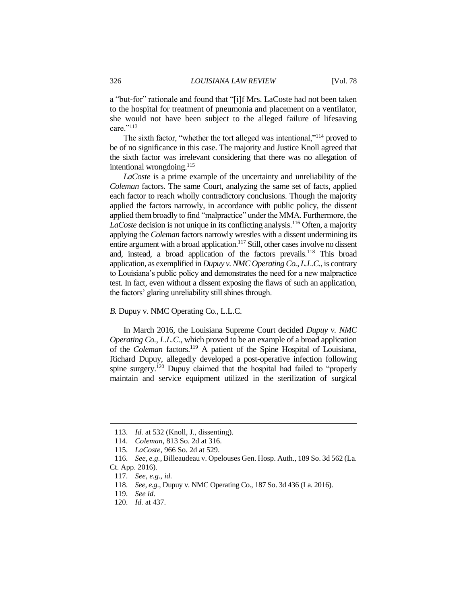a "but-for" rationale and found that "[i]f Mrs. LaCoste had not been taken to the hospital for treatment of pneumonia and placement on a ventilator, she would not have been subject to the alleged failure of lifesaving care."113

The sixth factor, "whether the tort alleged was intentional,"<sup>114</sup> proved to be of no significance in this case. The majority and Justice Knoll agreed that the sixth factor was irrelevant considering that there was no allegation of intentional wrongdoing. $^{115}$ 

*LaCoste* is a prime example of the uncertainty and unreliability of the *Coleman* factors. The same Court, analyzing the same set of facts, applied each factor to reach wholly contradictory conclusions. Though the majority applied the factors narrowly, in accordance with public policy, the dissent applied them broadly to find "malpractice" under the MMA. Furthermore, the LaCoste decision is not unique in its conflicting analysis.<sup>116</sup> Often, a majority applying the *Coleman* factors narrowly wrestles with a dissent undermining its entire argument with a broad application.<sup>117</sup> Still, other cases involve no dissent and, instead, a broad application of the factors prevails.<sup>118</sup> This broad application, as exemplified in *Dupuy v. NMC Operating Co., L.L.C.*, is contrary to Louisiana's public policy and demonstrates the need for a new malpractice test. In fact, even without a dissent exposing the flaws of such an application, the factors' glaring unreliability still shines through.

*B.* Dupuy v. NMC Operating Co., L.L.C.

In March 2016, the Louisiana Supreme Court decided *Dupuy v. NMC Operating Co., L.L.C.*, which proved to be an example of a broad application of the *Coleman* factors.<sup>119</sup> A patient of the Spine Hospital of Louisiana, Richard Dupuy, allegedly developed a post-operative infection following spine surgery.<sup>120</sup> Dupuy claimed that the hospital had failed to "properly maintain and service equipment utilized in the sterilization of surgical

<sup>113.</sup> *Id.* at 532 (Knoll, J., dissenting).

<sup>114.</sup> *Coleman*, 813 So. 2d at 316.

<sup>115.</sup> *LaCoste*, 966 So. 2d at 529.

<sup>116.</sup> *See, e.g.*, Billeaudeau v. Opelouses Gen. Hosp. Auth., 189 So. 3d 562 (La. Ct. App. 2016).

<sup>117.</sup> *See, e.g.*, *id.*

<sup>118.</sup> *See, e.g.*, Dupuy v. NMC Operating Co., 187 So. 3d 436 (La. 2016).

<sup>119.</sup> *See id.*

<sup>120.</sup> *Id.* at 437.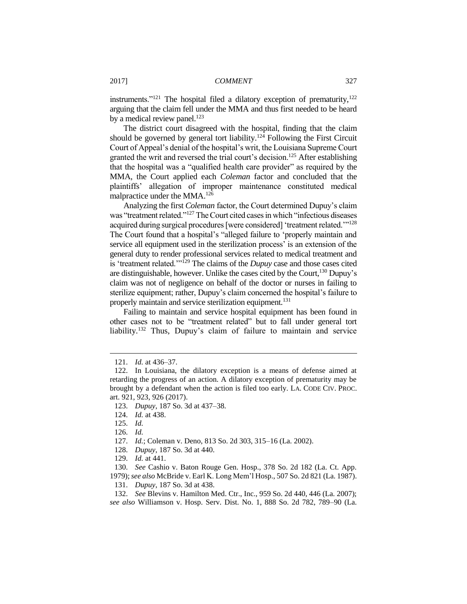instruments."<sup>121</sup> The hospital filed a dilatory exception of prematurity,<sup>122</sup> arguing that the claim fell under the MMA and thus first needed to be heard by a medical review panel. $^{123}$ 

The district court disagreed with the hospital, finding that the claim should be governed by general tort liability.<sup>124</sup> Following the First Circuit Court of Appeal's denial of the hospital's writ, the Louisiana Supreme Court granted the writ and reversed the trial court's decision.<sup>125</sup> After establishing that the hospital was a "qualified health care provider" as required by the MMA, the Court applied each *Coleman* factor and concluded that the plaintiffs' allegation of improper maintenance constituted medical malpractice under the MMA.<sup>126</sup>

Analyzing the first *Coleman* factor, the Court determined Dupuy's claim was "treatment related."<sup>127</sup> The Court cited cases in which "infectious diseases acquired during surgical procedures [were considered] 'treatment related.'"<sup>128</sup> The Court found that a hospital's "alleged failure to 'properly maintain and service all equipment used in the sterilization process' is an extension of the general duty to render professional services related to medical treatment and is 'treatment related.'"<sup>129</sup> The claims of the *Dupuy* case and those cases cited are distinguishable, however. Unlike the cases cited by the Court, <sup>130</sup> Dupuy's claim was not of negligence on behalf of the doctor or nurses in failing to sterilize equipment; rather, Dupuy's claim concerned the hospital's failure to properly maintain and service sterilization equipment.<sup>131</sup>

Failing to maintain and service hospital equipment has been found in other cases not to be "treatment related" but to fall under general tort liability.<sup>132</sup> Thus, Dupuy's claim of failure to maintain and service

124. *Id.* at 438.

 $\overline{a}$ 

129. *Id.* at 441.

130. *See* Cashio v. Baton Rouge Gen. Hosp., 378 So. 2d 182 (La. Ct. App. 1979); *see also* McBride v. Earl K. Long Mem'l Hosp., 507 So. 2d 821 (La. 1987). 131. *Dupuy*, 187 So. 3d at 438.

132. *See* Blevins v. Hamilton Med. Ctr., Inc., 959 So. 2d 440, 446 (La. 2007); *see also* Williamson v. Hosp. Serv. Dist. No. 1, 888 So. 2d 782, 789–90 (La.

<sup>121.</sup> *Id.* at 436–37.

<sup>122.</sup> In Louisiana, the dilatory exception is a means of defense aimed at retarding the progress of an action. A dilatory exception of prematurity may be brought by a defendant when the action is filed too early. LA. CODE CIV. PROC. art. 921, 923, 926 (2017).

<sup>123.</sup> *Dupuy*, 187 So. 3d at 437–38.

<sup>125.</sup> *Id.*

<sup>126.</sup> *Id.*

<sup>127.</sup> *Id.*; Coleman v. Deno, 813 So. 2d 303, 315–16 (La. 2002).

<sup>128.</sup> *Dupuy*, 187 So. 3d at 440.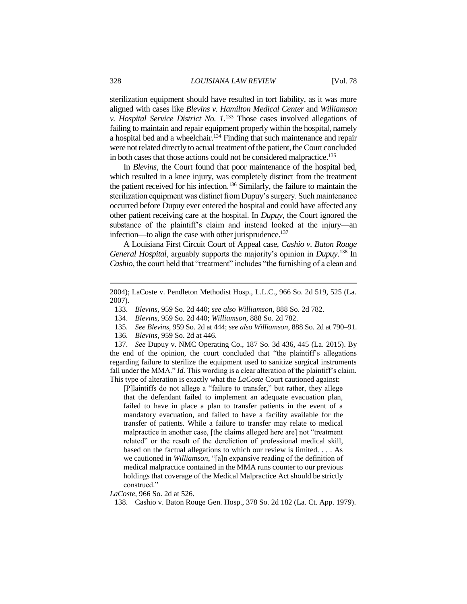sterilization equipment should have resulted in tort liability, as it was more aligned with cases like *Blevins v. Hamilton Medical Center* and *Williamson v. Hospital Service District No. 1*. <sup>133</sup> Those cases involved allegations of failing to maintain and repair equipment properly within the hospital, namely a hospital bed and a wheelchair.<sup>134</sup> Finding that such maintenance and repair were not related directly to actual treatment of the patient, the Court concluded in both cases that those actions could not be considered malpractice.<sup>135</sup>

In *Blevins*, the Court found that poor maintenance of the hospital bed, which resulted in a knee injury, was completely distinct from the treatment the patient received for his infection.<sup>136</sup> Similarly, the failure to maintain the sterilization equipment was distinct from Dupuy's surgery. Such maintenance occurred before Dupuy ever entered the hospital and could have affected any other patient receiving care at the hospital. In *Dupuy*, the Court ignored the substance of the plaintiff's claim and instead looked at the injury—an infection—to align the case with other jurisprudence.<sup>137</sup>

A Louisiana First Circuit Court of Appeal case, *Cashio v. Baton Rouge General Hospital*, arguably supports the majority's opinion in *Dupuy*. <sup>138</sup> In *Cashio*, the court held that "treatment" includes "the furnishing of a clean and

- 133. *Blevins*, 959 So. 2d 440; *see also Williamson*, 888 So. 2d 782.
- 134. *Blevins*, 959 So. 2d 440; *Williamson*, 888 So. 2d 782.
- 135. *See Blevins*, 959 So. 2d at 444; *see also Williamson*, 888 So. 2d at 790–91.
- 136. *Blevins*, 959 So. 2d at 446.

137. *See* Dupuy v. NMC Operating Co., 187 So. 3d 436, 445 (La. 2015). By the end of the opinion, the court concluded that "the plaintiff's allegations regarding failure to sterilize the equipment used to sanitize surgical instruments fall under the MMA." *Id.* This wording is a clear alteration of the plaintiff's claim. This type of alteration is exactly what the *LaCoste* Court cautioned against:

[P]laintiffs do not allege a "failure to transfer," but rather, they allege that the defendant failed to implement an adequate evacuation plan, failed to have in place a plan to transfer patients in the event of a mandatory evacuation, and failed to have a facility available for the transfer of patients. While a failure to transfer may relate to medical malpractice in another case, [the claims alleged here are] not "treatment related" or the result of the dereliction of professional medical skill, based on the factual allegations to which our review is limited. . . . As we cautioned in *Williamson*, "[a]n expansive reading of the definition of medical malpractice contained in the MMA runs counter to our previous holdings that coverage of the Medical Malpractice Act should be strictly construed."

*LaCoste*, 966 So. 2d at 526.

138. Cashio v. Baton Rouge Gen. Hosp., 378 So. 2d 182 (La. Ct. App. 1979).

<sup>2004);</sup> LaCoste v. Pendleton Methodist Hosp., L.L.C., 966 So. 2d 519, 525 (La. 2007).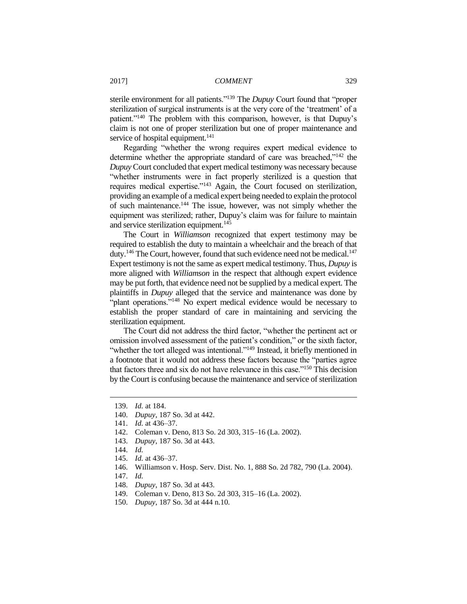sterile environment for all patients."<sup>139</sup> The *Dupuy* Court found that "proper sterilization of surgical instruments is at the very core of the 'treatment' of a patient."<sup>140</sup> The problem with this comparison, however, is that Dupuy's claim is not one of proper sterilization but one of proper maintenance and service of hospital equipment.<sup>141</sup>

Regarding "whether the wrong requires expert medical evidence to determine whether the appropriate standard of care was breached,"<sup>142</sup> the *Dupuy* Court concluded that expert medical testimony was necessary because "whether instruments were in fact properly sterilized is a question that requires medical expertise."<sup>143</sup> Again, the Court focused on sterilization, providing an example of a medical expert being needed to explain the protocol of such maintenance.<sup>144</sup> The issue, however, was not simply whether the equipment was sterilized; rather, Dupuy's claim was for failure to maintain and service sterilization equipment.<sup>145</sup>

The Court in *Williamson* recognized that expert testimony may be required to establish the duty to maintain a wheelchair and the breach of that duty.<sup>146</sup> The Court, however, found that such evidence need not be medical.<sup>147</sup> Expert testimony is not the same as expert medical testimony. Thus, *Dupuy* is more aligned with *Williamson* in the respect that although expert evidence may be put forth, that evidence need not be supplied by a medical expert. The plaintiffs in *Dupuy* alleged that the service and maintenance was done by "plant operations."<sup>148</sup> No expert medical evidence would be necessary to establish the proper standard of care in maintaining and servicing the sterilization equipment.

The Court did not address the third factor, "whether the pertinent act or omission involved assessment of the patient's condition," or the sixth factor, "whether the tort alleged was intentional."<sup>149</sup> Instead, it briefly mentioned in a footnote that it would not address these factors because the "parties agree that factors three and six do not have relevance in this case."<sup>150</sup> This decision by the Court is confusing because the maintenance and service of sterilization

140. *Dupuy*, 187 So. 3d at 442.

- 142. Coleman v. Deno, 813 So. 2d 303, 315–16 (La. 2002).
- 143. *Dupuy*, 187 So. 3d at 443.
- 144. *Id.*

- 145. *Id.* at 436–37.
- 146. Williamson v. Hosp. Serv. Dist. No. 1, 888 So. 2d 782, 790 (La. 2004).
- 147. *Id.*
- 148. *Dupuy*, 187 So. 3d at 443.
- 149. Coleman v. Deno, 813 So. 2d 303, 315–16 (La. 2002).
- 150. *Dupuy*, 187 So. 3d at 444 n.10.

<sup>139.</sup> *Id.* at 184.

<sup>141.</sup> *Id.* at 436–37.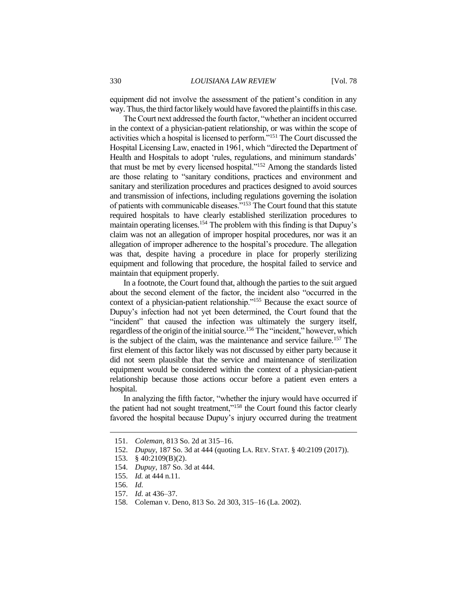equipment did not involve the assessment of the patient's condition in any way. Thus, the third factor likely would have favored the plaintiffs in this case.

The Court next addressed the fourth factor, "whether an incident occurred in the context of a physician-patient relationship, or was within the scope of activities which a hospital is licensed to perform."<sup>151</sup> The Court discussed the Hospital Licensing Law, enacted in 1961, which "directed the Department of Health and Hospitals to adopt 'rules, regulations, and minimum standards' that must be met by every licensed hospital."<sup>152</sup> Among the standards listed are those relating to "sanitary conditions, practices and environment and sanitary and sterilization procedures and practices designed to avoid sources and transmission of infections, including regulations governing the isolation of patients with communicable diseases."<sup>153</sup> The Court found that this statute required hospitals to have clearly established sterilization procedures to maintain operating licenses.<sup>154</sup> The problem with this finding is that Dupuy's claim was not an allegation of improper hospital procedures, nor was it an allegation of improper adherence to the hospital's procedure. The allegation was that, despite having a procedure in place for properly sterilizing equipment and following that procedure, the hospital failed to service and maintain that equipment properly.

In a footnote, the Court found that, although the parties to the suit argued about the second element of the factor, the incident also "occurred in the context of a physician-patient relationship."<sup>155</sup> Because the exact source of Dupuy's infection had not yet been determined, the Court found that the "incident" that caused the infection was ultimately the surgery itself, regardless of the origin of the initial source.<sup>156</sup> The "incident," however, which is the subject of the claim, was the maintenance and service failure.<sup>157</sup> The first element of this factor likely was not discussed by either party because it did not seem plausible that the service and maintenance of sterilization equipment would be considered within the context of a physician-patient relationship because those actions occur before a patient even enters a hospital.

In analyzing the fifth factor, "whether the injury would have occurred if the patient had not sought treatment,"<sup>158</sup> the Court found this factor clearly favored the hospital because Dupuy's injury occurred during the treatment

<sup>151.</sup> *Coleman*, 813 So. 2d at 315–16.

<sup>152.</sup> *Dupuy*, 187 So. 3d at 444 (quoting LA. REV. STAT. § 40:2109 (2017)).

<sup>153.</sup> § 40:2109(B)(2).

<sup>154.</sup> *Dupuy*, 187 So. 3d at 444.

<sup>155.</sup> *Id.* at 444 n.11.

<sup>156.</sup> *Id.*

<sup>157.</sup> *Id.* at 436–37.

<sup>158.</sup> Coleman v. Deno, 813 So. 2d 303, 315–16 (La. 2002).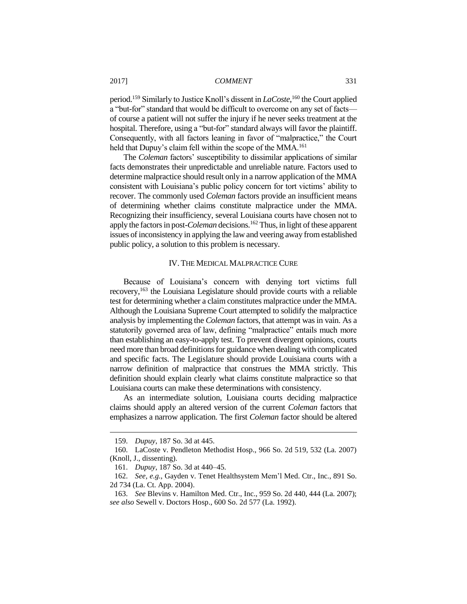period.<sup>159</sup> Similarly to Justice Knoll's dissent in *LaCoste*,<sup>160</sup> the Court applied a "but-for" standard that would be difficult to overcome on any set of facts of course a patient will not suffer the injury if he never seeks treatment at the hospital. Therefore, using a "but-for" standard always will favor the plaintiff. Consequently, with all factors leaning in favor of "malpractice," the Court held that Dupuy's claim fell within the scope of the MMA.<sup>161</sup>

The *Coleman* factors' susceptibility to dissimilar applications of similar facts demonstrates their unpredictable and unreliable nature. Factors used to determine malpractice should result only in a narrow application of the MMA consistent with Louisiana's public policy concern for tort victims' ability to recover. The commonly used *Coleman* factors provide an insufficient means of determining whether claims constitute malpractice under the MMA. Recognizing their insufficiency, several Louisiana courts have chosen not to apply the factors in post-*Coleman* decisions.<sup>162</sup> Thus, in light of these apparent issues of inconsistency in applying the law and veering away from established public policy, a solution to this problem is necessary.

#### IV. THE MEDICAL MALPRACTICE CURE

Because of Louisiana's concern with denying tort victims full recovery,<sup>163</sup> the Louisiana Legislature should provide courts with a reliable test for determining whether a claim constitutes malpractice under the MMA. Although the Louisiana Supreme Court attempted to solidify the malpractice analysis by implementing the *Coleman* factors, that attempt was in vain. As a statutorily governed area of law, defining "malpractice" entails much more than establishing an easy-to-apply test. To prevent divergent opinions, courts need more than broad definitions for guidance when dealing with complicated and specific facts. The Legislature should provide Louisiana courts with a narrow definition of malpractice that construes the MMA strictly. This definition should explain clearly what claims constitute malpractice so that Louisiana courts can make these determinations with consistency.

As an intermediate solution, Louisiana courts deciding malpractice claims should apply an altered version of the current *Coleman* factors that emphasizes a narrow application. The first *Coleman* factor should be altered

<sup>159.</sup> *Dupuy*, 187 So. 3d at 445.

<sup>160.</sup> LaCoste v. Pendleton Methodist Hosp., 966 So. 2d 519, 532 (La. 2007) (Knoll, J., dissenting).

<sup>161.</sup> *Dupuy*, 187 So. 3d at 440–45.

<sup>162.</sup> *See, e.g.*, Gayden v. Tenet Healthsystem Mem'l Med. Ctr., Inc., 891 So. 2d 734 (La. Ct. App. 2004).

<sup>163.</sup> *See* Blevins v. Hamilton Med. Ctr., Inc., 959 So. 2d 440, 444 (La. 2007); *see also* Sewell v. Doctors Hosp., 600 So. 2d 577 (La. 1992).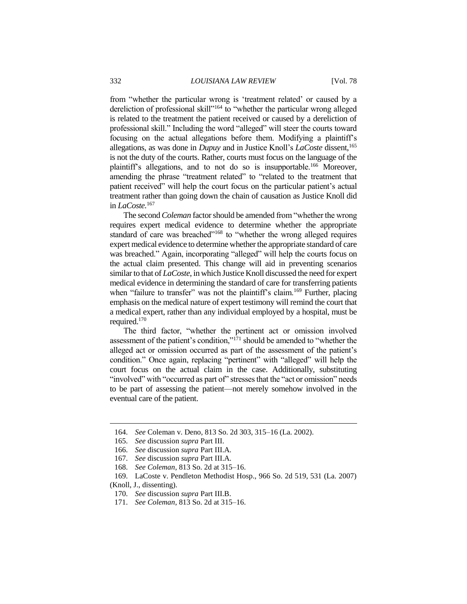from "whether the particular wrong is 'treatment related' or caused by a dereliction of professional skill"<sup>164</sup> to "whether the particular wrong alleged is related to the treatment the patient received or caused by a dereliction of professional skill." Including the word "alleged" will steer the courts toward focusing on the actual allegations before them. Modifying a plaintiff's allegations, as was done in *Dupuy* and in Justice Knoll's *LaCoste* dissent,<sup>165</sup> is not the duty of the courts. Rather, courts must focus on the language of the plaintiff's allegations, and to not do so is insupportable.<sup>166</sup> Moreover, amending the phrase "treatment related" to "related to the treatment that patient received" will help the court focus on the particular patient's actual treatment rather than going down the chain of causation as Justice Knoll did in *LaCoste.*<sup>167</sup>

The second *Coleman* factor should be amended from "whether the wrong requires expert medical evidence to determine whether the appropriate standard of care was breached"<sup>168</sup> to "whether the wrong alleged requires expert medical evidence to determine whether the appropriate standard of care was breached." Again, incorporating "alleged" will help the courts focus on the actual claim presented. This change will aid in preventing scenarios similar to that of *LaCoste*, in which Justice Knoll discussed the need for expert medical evidence in determining the standard of care for transferring patients when "failure to transfer" was not the plaintiff's claim.<sup>169</sup> Further, placing emphasis on the medical nature of expert testimony will remind the court that a medical expert, rather than any individual employed by a hospital, must be required. 170

The third factor, "whether the pertinent act or omission involved assessment of the patient's condition,"<sup>171</sup> should be amended to "whether the alleged act or omission occurred as part of the assessment of the patient's condition." Once again, replacing "pertinent" with "alleged" will help the court focus on the actual claim in the case. Additionally, substituting "involved" with "occurred as part of" stresses that the "act or omission" needs to be part of assessing the patient—not merely somehow involved in the eventual care of the patient.

<sup>164.</sup> *See* Coleman v. Deno, 813 So. 2d 303, 315–16 (La. 2002).

<sup>165.</sup> *See* discussion *supra* Part III.

<sup>166.</sup> *See* discussion *supra* Part III.A.

<sup>167.</sup> *See* discussion *supra* Part III.A.

<sup>168.</sup> *See Coleman*, 813 So. 2d at 315–16.

<sup>169.</sup> LaCoste v. Pendleton Methodist Hosp., 966 So. 2d 519, 531 (La. 2007)

<sup>(</sup>Knoll, J., dissenting).

<sup>170.</sup> *See* discussion *supra* Part III.B.

<sup>171.</sup> *See Coleman*, 813 So. 2d at 315–16.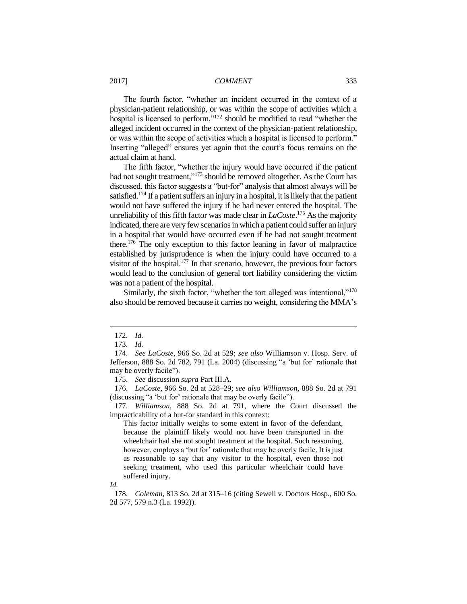The fourth factor, "whether an incident occurred in the context of a physician-patient relationship, or was within the scope of activities which a hospital is licensed to perform,"<sup>172</sup> should be modified to read "whether the alleged incident occurred in the context of the physician-patient relationship, or was within the scope of activities which a hospital is licensed to perform." Inserting "alleged" ensures yet again that the court's focus remains on the actual claim at hand.

The fifth factor, "whether the injury would have occurred if the patient had not sought treatment,"<sup>173</sup> should be removed altogether. As the Court has discussed, this factor suggests a "but-for" analysis that almost always will be satisfied.<sup>174</sup> If a patient suffers an injury in a hospital, it is likely that the patient would not have suffered the injury if he had never entered the hospital. The unreliability of this fifth factor was made clear in *LaCoste*. <sup>175</sup> As the majority indicated, there are very few scenarios in which a patient could suffer an injury in a hospital that would have occurred even if he had not sought treatment there.<sup>176</sup> The only exception to this factor leaning in favor of malpractice established by jurisprudence is when the injury could have occurred to a visitor of the hospital. $177$  In that scenario, however, the previous four factors would lead to the conclusion of general tort liability considering the victim was not a patient of the hospital.

Similarly, the sixth factor, "whether the tort alleged was intentional,"<sup>178</sup> also should be removed because it carries no weight, considering the MMA's

 $\overline{a}$ 

This factor initially weighs to some extent in favor of the defendant, because the plaintiff likely would not have been transported in the wheelchair had she not sought treatment at the hospital. Such reasoning, however, employs a 'but for' rationale that may be overly facile. It is just as reasonable to say that any visitor to the hospital, even those not seeking treatment, who used this particular wheelchair could have suffered injury.

*Id.*

178. *Coleman*, 813 So. 2d at 315–16 (citing Sewell v. Doctors Hosp., 600 So. 2d 577, 579 n.3 (La. 1992)).

<sup>172.</sup> *Id.*

<sup>173.</sup> *Id.*

<sup>174.</sup> *See LaCoste*, 966 So. 2d at 529; *see also* Williamson v. Hosp. Serv. of Jefferson, 888 So. 2d 782, 791 (La. 2004) (discussing "a 'but for' rationale that may be overly facile").

<sup>175.</sup> *See* discussion *supra* Part III.A.

<sup>176.</sup> *LaCoste*, 966 So. 2d at 528–29; *see also Williamson*, 888 So. 2d at 791 (discussing "a 'but for' rationale that may be overly facile").

<sup>177.</sup> *Williamson*, 888 So. 2d at 791, where the Court discussed the impracticability of a but-for standard in this context: